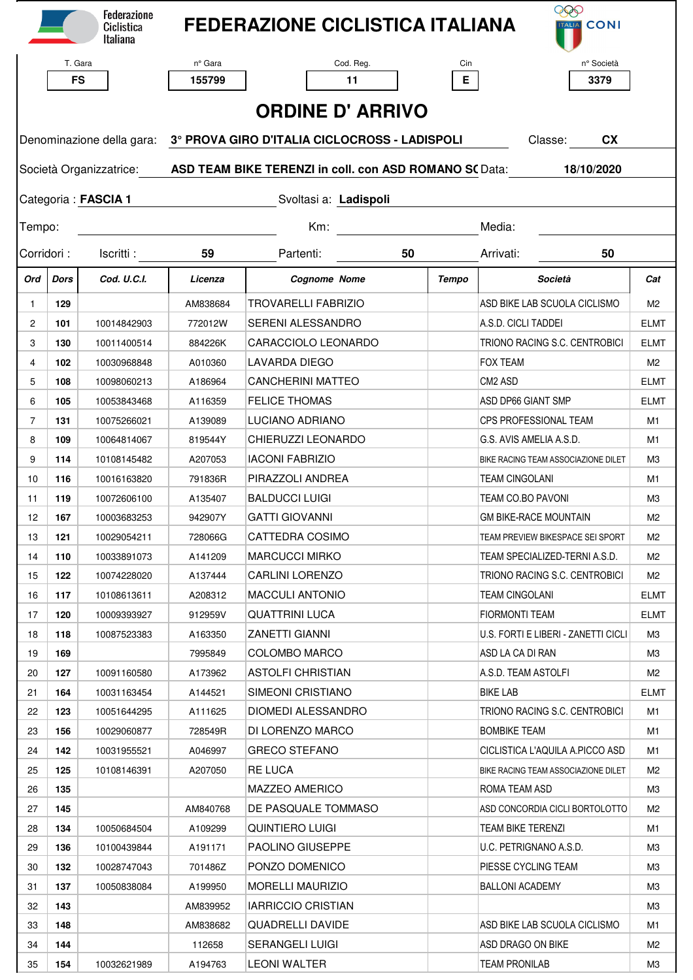|                         |           | <b>Federazione</b><br>Ciclistica<br>Italiana |                                                                                                     | <b>FEDERAZIONE CICLISTICA ITALIANA</b> |        | 880<br><b>TALIA</b> CONI            |                |  |  |  |  |  |  |
|-------------------------|-----------|----------------------------------------------|-----------------------------------------------------------------------------------------------------|----------------------------------------|--------|-------------------------------------|----------------|--|--|--|--|--|--|
|                         | T. Gara   |                                              | nº Gara                                                                                             | Cod. Reg.                              | Cin    | n° Società                          |                |  |  |  |  |  |  |
|                         | <b>FS</b> |                                              | 155799                                                                                              | 11                                     | E.     | 3379                                |                |  |  |  |  |  |  |
| <b>ORDINE D' ARRIVO</b> |           |                                              |                                                                                                     |                                        |        |                                     |                |  |  |  |  |  |  |
|                         |           |                                              | Denominazione della gara: 3° PROVA GIRO D'ITALIA CICLOCROSS - LADISPOLI<br><b>CX</b><br>Classe:     |                                        |        |                                     |                |  |  |  |  |  |  |
|                         |           |                                              | Società Organizzatrice: <b>ASD TEAM BIKE TERENZI in coll. con ASD ROMANO SC</b> Data:<br>18/10/2020 |                                        |        |                                     |                |  |  |  |  |  |  |
| Categoria: FASCIA 1     |           |                                              | Svoltasi a: Ladispoli                                                                               |                                        |        |                                     |                |  |  |  |  |  |  |
| Tempo:                  |           |                                              |                                                                                                     | Km:                                    | Media: |                                     |                |  |  |  |  |  |  |
| Corridori:              |           | Iscritti:                                    | 59                                                                                                  | Partenti:<br>50                        |        | Arrivati:<br>50                     |                |  |  |  |  |  |  |
| Ord                     | Dors      | Cod. U.C.I.                                  | Licenza                                                                                             | <b>Cognome Nome</b>                    | Tempo  | Società                             | Cat            |  |  |  |  |  |  |
| $\mathbf{1}$            | 129       |                                              | AM838684                                                                                            | <b>TROVARELLI FABRIZIO</b>             |        | ASD BIKE LAB SCUOLA CICLISMO        | M2             |  |  |  |  |  |  |
| $\mathbf{2}$            | 101       | 10014842903                                  | 772012W                                                                                             | <b>SERENI ALESSANDRO</b>               |        | A.S.D. CICLI TADDEI                 | <b>ELMT</b>    |  |  |  |  |  |  |
| 3                       | 130       | 10011400514                                  | 884226K                                                                                             | CARACCIOLO LEONARDO                    |        | TRIONO RACING S.C. CENTROBICI       | <b>ELMT</b>    |  |  |  |  |  |  |
| $\overline{4}$          | 102       | 10030968848                                  | A010360                                                                                             | LAVARDA DIEGO                          |        | <b>FOX TEAM</b>                     | M <sub>2</sub> |  |  |  |  |  |  |
| 5                       | 108       | 10098060213                                  | A186964                                                                                             | <b>CANCHERINI MATTEO</b>               |        | CM2 ASD                             | <b>ELMT</b>    |  |  |  |  |  |  |
| 6                       | 105       | 10053843468                                  | A116359                                                                                             | <b>FELICE THOMAS</b>                   |        | ASD DP66 GIANT SMP                  | <b>ELMT</b>    |  |  |  |  |  |  |
| $\overline{7}$          | 131       | 10075266021                                  | A139089                                                                                             | LUCIANO ADRIANO                        |        | CPS PROFESSIONAL TEAM               | M1             |  |  |  |  |  |  |
| 8                       | 109       | 10064814067                                  | 819544Y                                                                                             | CHIERUZZI LEONARDO                     |        | G.S. AVIS AMELIA A.S.D.             | M1             |  |  |  |  |  |  |
| 9                       | 114       | 10108145482                                  | A207053                                                                                             | <b>IACONI FABRIZIO</b>                 |        | BIKE RACING TEAM ASSOCIAZIONE DILET | M3             |  |  |  |  |  |  |
| 10                      | 116       | 10016163820                                  | 791836R                                                                                             | PIRAZZOLI ANDREA                       |        | <b>TEAM CINGOLANI</b>               | M1             |  |  |  |  |  |  |
| 11                      | 119       | 10072606100                                  | A135407                                                                                             | <b>BALDUCCI LUIGI</b>                  |        | TEAM CO.BO PAVONI                   | MЗ             |  |  |  |  |  |  |
| 12                      | 167       | 10003683253                                  | 942907Y                                                                                             | <b>GATTI GIOVANNI</b>                  |        | <b>GM BIKE-RACE MOUNTAIN</b>        | M <sub>2</sub> |  |  |  |  |  |  |
| 13                      | 121       | 10029054211                                  | 728066G                                                                                             | CATTEDRA COSIMO                        |        | TEAM PREVIEW BIKESPACE SEI SPORT    | M2             |  |  |  |  |  |  |
| 14                      | 110       | 10033891073                                  | A141209                                                                                             | <b>MARCUCCI MIRKO</b>                  |        | TEAM SPECIALIZED-TERNI A.S.D.       | M2             |  |  |  |  |  |  |
| 15                      | 122       | 10074228020                                  | A137444                                                                                             | <b>CARLINI LORENZO</b>                 |        | TRIONO RACING S.C. CENTROBICI       | M2             |  |  |  |  |  |  |
| 16                      | 117       | 10108613611                                  | A208312                                                                                             | <b>MACCULI ANTONIO</b>                 |        | TEAM CINGOLANI                      | ELMT           |  |  |  |  |  |  |
| 17                      | 120       | 10009393927                                  | 912959V                                                                                             | <b>QUATTRINI LUCA</b>                  |        | <b>FIORMONTI TEAM</b>               | <b>ELMT</b>    |  |  |  |  |  |  |
| 18                      | 118       | 10087523383                                  | A163350                                                                                             | <b>ZANETTI GIANNI</b>                  |        | U.S. FORTI E LIBERI - ZANETTI CICLI | MЗ             |  |  |  |  |  |  |
| 19                      | 169       |                                              | 7995849                                                                                             | COLOMBO MARCO                          |        | ASD LA CA DI RAN                    | M3             |  |  |  |  |  |  |
| 20                      | 127       | 10091160580                                  | A173962                                                                                             | <b>ASTOLFI CHRISTIAN</b>               |        | A.S.D. TEAM ASTOLFI                 | M <sub>2</sub> |  |  |  |  |  |  |
| 21                      | 164       | 10031163454                                  | A144521                                                                                             | SIMEONI CRISTIANO                      |        | <b>BIKE LAB</b>                     | ELMT           |  |  |  |  |  |  |
| 22                      | 123       | 10051644295                                  | A111625                                                                                             | DIOMEDI ALESSANDRO                     |        | TRIONO RACING S.C. CENTROBICI       | M1             |  |  |  |  |  |  |
| 23                      | 156       | 10029060877                                  | 728549R                                                                                             | DI LORENZO MARCO                       |        | <b>BOMBIKE TEAM</b>                 | M1             |  |  |  |  |  |  |
| 24                      | 142       | 10031955521                                  | A046997                                                                                             | <b>GRECO STEFANO</b>                   |        | CICLISTICA L'AQUILA A.PICCO ASD     | M1             |  |  |  |  |  |  |
| 25                      | 125       | 10108146391                                  | A207050                                                                                             | RE LUCA                                |        | BIKE RACING TEAM ASSOCIAZIONE DILET | M2             |  |  |  |  |  |  |
| 26                      | 135       |                                              |                                                                                                     | MAZZEO AMERICO                         |        | ROMA TEAM ASD                       | M3             |  |  |  |  |  |  |
| 27                      | 145       |                                              | AM840768                                                                                            | DE PASQUALE TOMMASO                    |        | ASD CONCORDIA CICLI BORTOLOTTO      | M2             |  |  |  |  |  |  |
| 28                      | 134       | 10050684504                                  | A109299                                                                                             | QUINTIERO LUIGI                        |        | TEAM BIKE TERENZI                   | M1             |  |  |  |  |  |  |
| 29                      | 136       | 10100439844                                  | A191171                                                                                             | <b>PAOLINO GIUSEPPE</b>                |        | U.C. PETRIGNANO A.S.D.              | ΜЗ             |  |  |  |  |  |  |
| 30                      | 132       | 10028747043                                  | 701486Z                                                                                             | PONZO DOMENICO                         |        | PIESSE CYCLING TEAM                 | ΜЗ             |  |  |  |  |  |  |
| 31                      | 137       | 10050838084                                  | A199950                                                                                             | MORELLI MAURIZIO                       |        | <b>BALLONI ACADEMY</b>              | M3             |  |  |  |  |  |  |
| 32                      | 143       |                                              | AM839952                                                                                            | <b>IARRICCIO CRISTIAN</b>              |        |                                     | ΜЗ             |  |  |  |  |  |  |
| 33                      | 148       |                                              | AM838682                                                                                            | QUADRELLI DAVIDE                       |        | ASD BIKE LAB SCUOLA CICLISMO        | M1             |  |  |  |  |  |  |
| 34                      | 144       |                                              | 112658                                                                                              | <b>SERANGELI LUIGI</b>                 |        | ASD DRAGO ON BIKE                   | M2             |  |  |  |  |  |  |
| 35                      | 154       | 10032621989                                  | A194763                                                                                             | <b>LEONI WALTER</b>                    |        | <b>TEAM PRONILAB</b>                | ΜЗ             |  |  |  |  |  |  |